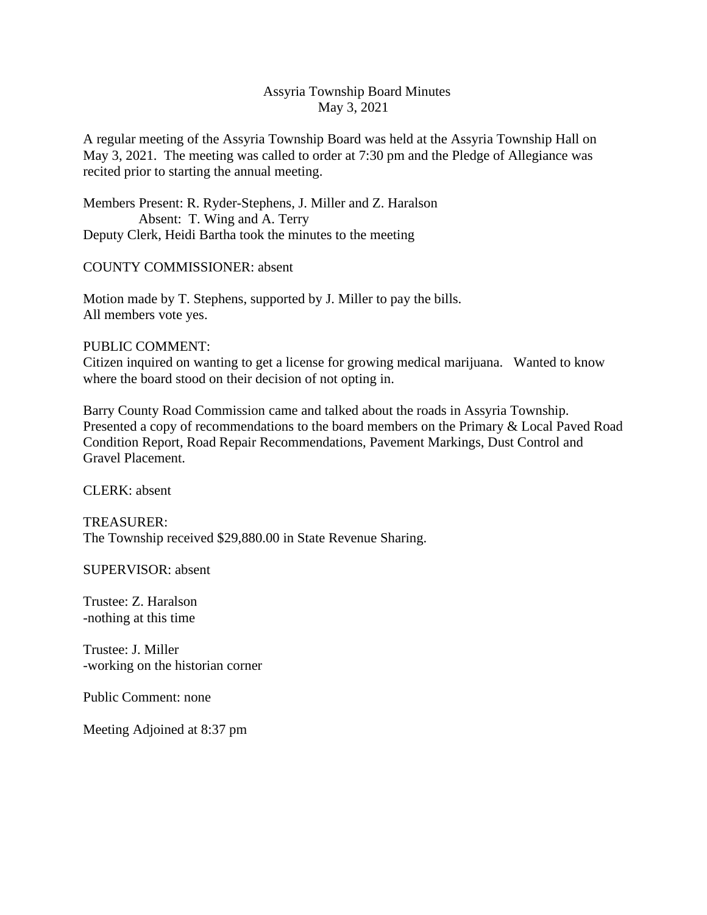## Assyria Township Board Minutes May 3, 2021

A regular meeting of the Assyria Township Board was held at the Assyria Township Hall on May 3, 2021. The meeting was called to order at 7:30 pm and the Pledge of Allegiance was recited prior to starting the annual meeting.

Members Present: R. Ryder-Stephens, J. Miller and Z. Haralson Absent: T. Wing and A. Terry Deputy Clerk, Heidi Bartha took the minutes to the meeting

## COUNTY COMMISSIONER: absent

Motion made by T. Stephens, supported by J. Miller to pay the bills. All members vote yes.

## PUBLIC COMMENT:

Citizen inquired on wanting to get a license for growing medical marijuana. Wanted to know where the board stood on their decision of not opting in.

Barry County Road Commission came and talked about the roads in Assyria Township. Presented a copy of recommendations to the board members on the Primary & Local Paved Road Condition Report, Road Repair Recommendations, Pavement Markings, Dust Control and Gravel Placement.

CLERK: absent

TREASURER: The Township received \$29,880.00 in State Revenue Sharing.

SUPERVISOR: absent

Trustee: Z. Haralson -nothing at this time

Trustee: J. Miller -working on the historian corner

Public Comment: none

Meeting Adjoined at 8:37 pm